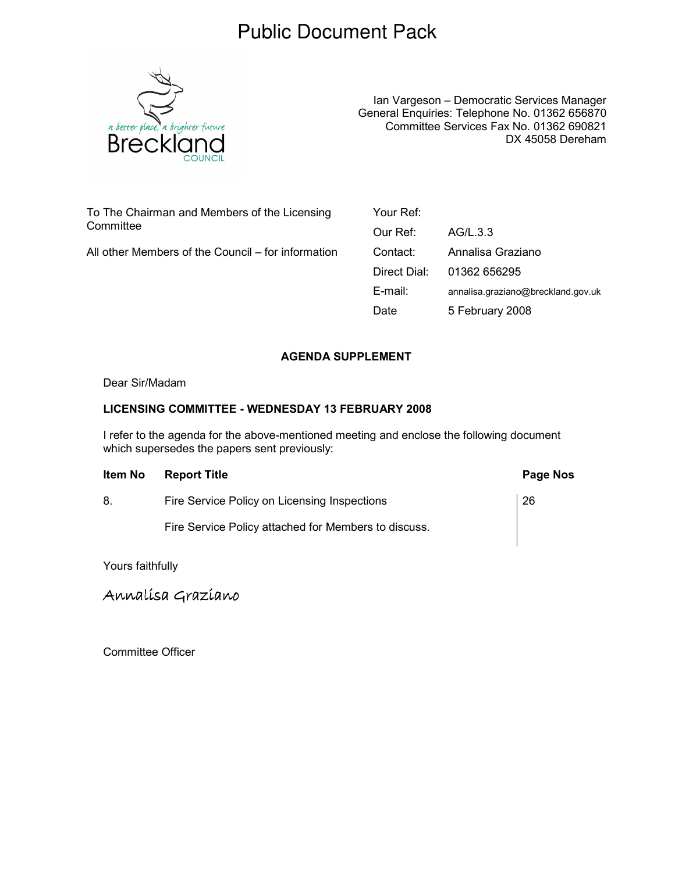## Public Document Pack



Ian Vargeson – Democratic Services Manager General Enquiries: Telephone No. 01362 656870 Committee Services Fax No. 01362 690821 DX 45058 Dereham

To The Chairman and Members of the Licensing **Committee** 

All other Members of the Council – for information

Your Ref: Our Ref: AG/L.3.3 Contact: Annalisa Graziano Direct Dial: 01362 656295 E-mail: annalisa.graziano@breckland.gov.uk Date 5 February 2008

## AGENDA SUPPLEMENT

Dear Sir/Madam

## LICENSING COMMITTEE - WEDNESDAY 13 FEBRUARY 2008

I refer to the agenda for the above-mentioned meeting and enclose the following document which supersedes the papers sent previously:

| ltem No | <b>Report Title</b>                                  | Page Nos |
|---------|------------------------------------------------------|----------|
| 8.      | Fire Service Policy on Licensing Inspections         | 26       |
|         | Fire Service Policy attached for Members to discuss. |          |

Yours faithfully

Annalísa Grazíano

Committee Officer